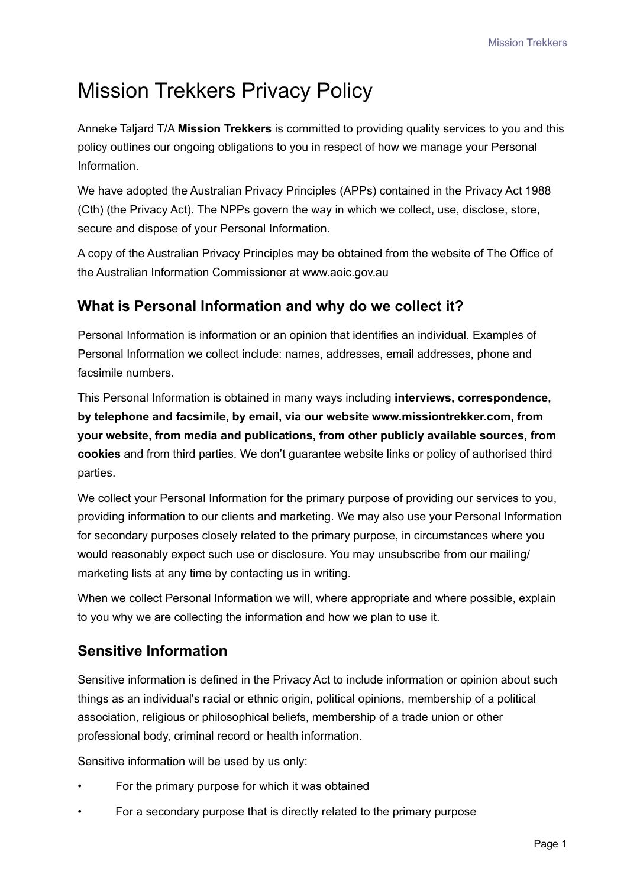# Mission Trekkers Privacy Policy

Anneke Taljard T/A **Mission Trekkers** is committed to providing quality services to you and this policy outlines our ongoing obligations to you in respect of how we manage your Personal Information.

We have adopted the Australian Privacy Principles (APPs) contained in the Privacy Act 1988 (Cth) (the Privacy Act). The NPPs govern the way in which we collect, use, disclose, store, secure and dispose of your Personal Information.

A copy of the Australian Privacy Principles may be obtained from the website of The Office of the Australian Information Commissioner at www.aoic.gov.au

## **What is Personal Information and why do we collect it?**

Personal Information is information or an opinion that identifies an individual. Examples of Personal Information we collect include: names, addresses, email addresses, phone and facsimile numbers.

This Personal Information is obtained in many ways including **interviews, correspondence, by telephone and facsimile, by email, via our website www.missiontrekker.com, from your website, from media and publications, from other publicly available sources, from cookies** and from third parties. We don't guarantee website links or policy of authorised third parties.

We collect your Personal Information for the primary purpose of providing our services to you, providing information to our clients and marketing. We may also use your Personal Information for secondary purposes closely related to the primary purpose, in circumstances where you would reasonably expect such use or disclosure. You may unsubscribe from our mailing/ marketing lists at any time by contacting us in writing.

When we collect Personal Information we will, where appropriate and where possible, explain to you why we are collecting the information and how we plan to use it.

# **Sensitive Information**

Sensitive information is defined in the Privacy Act to include information or opinion about such things as an individual's racial or ethnic origin, political opinions, membership of a political association, religious or philosophical beliefs, membership of a trade union or other professional body, criminal record or health information.

Sensitive information will be used by us only:

- For the primary purpose for which it was obtained
- For a secondary purpose that is directly related to the primary purpose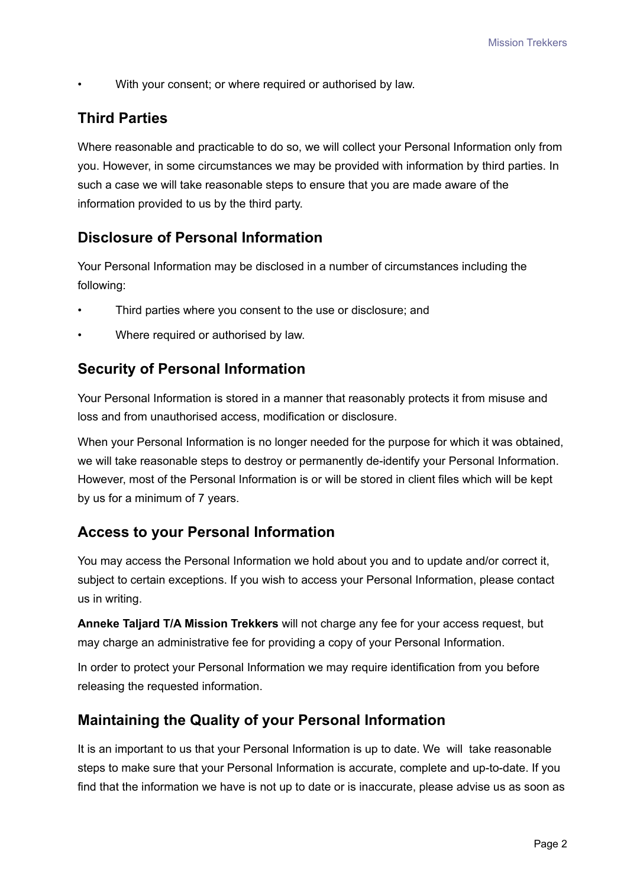With your consent; or where required or authorised by law.

## **Third Parties**

Where reasonable and practicable to do so, we will collect your Personal Information only from you. However, in some circumstances we may be provided with information by third parties. In such a case we will take reasonable steps to ensure that you are made aware of the information provided to us by the third party.

## **Disclosure of Personal Information**

Your Personal Information may be disclosed in a number of circumstances including the following:

- Third parties where you consent to the use or disclosure; and
- Where required or authorised by law.

#### **Security of Personal Information**

Your Personal Information is stored in a manner that reasonably protects it from misuse and loss and from unauthorised access, modification or disclosure.

When your Personal Information is no longer needed for the purpose for which it was obtained, we will take reasonable steps to destroy or permanently de-identify your Personal Information. However, most of the Personal Information is or will be stored in client files which will be kept by us for a minimum of 7 years.

## **Access to your Personal Information**

You may access the Personal Information we hold about you and to update and/or correct it, subject to certain exceptions. If you wish to access your Personal Information, please contact us in writing.

**Anneke Taljard T/A Mission Trekkers** will not charge any fee for your access request, but may charge an administrative fee for providing a copy of your Personal Information.

In order to protect your Personal Information we may require identification from you before releasing the requested information.

## **Maintaining the Quality of your Personal Information**

It is an important to us that your Personal Information is up to date. We will take reasonable steps to make sure that your Personal Information is accurate, complete and up-to-date. If you find that the information we have is not up to date or is inaccurate, please advise us as soon as